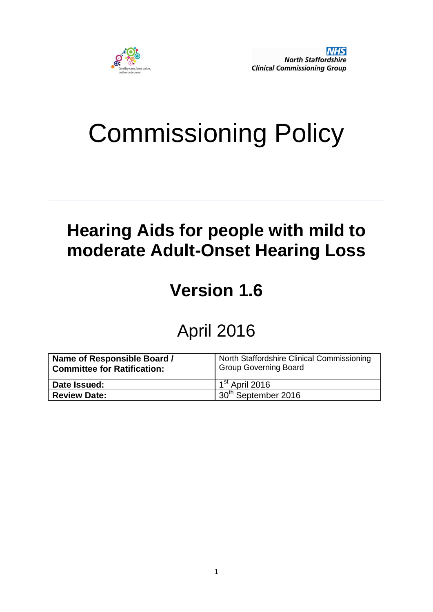

# Commissioning Policy

## **Hearing Aids for people with mild to moderate Adult-Onset Hearing Loss**

# **Version 1.6**

### April 2016

| Name of Responsible Board /<br><b>Committee for Ratification:</b> | North Staffordshire Clinical Commissioning<br><b>Group Governing Board</b> |  |  |
|-------------------------------------------------------------------|----------------------------------------------------------------------------|--|--|
| Date Issued:                                                      | $1^{\rm st}$ April 2016                                                    |  |  |
| <b>Review Date:</b>                                               | 130 <sup>th</sup> September 2016                                           |  |  |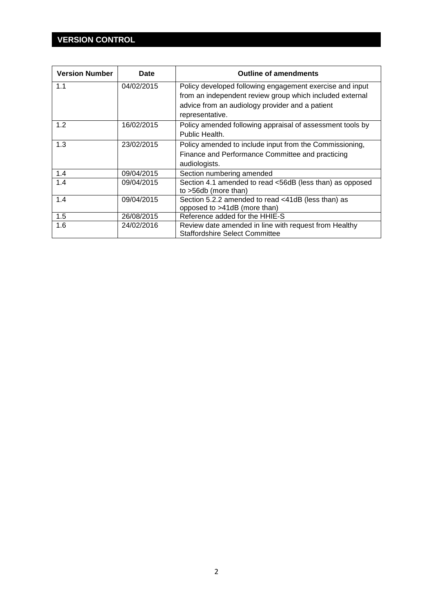### **VERSION CONTROL**

| <b>Version Number</b> | Date       | <b>Outline of amendments</b>                                                                                |  |  |
|-----------------------|------------|-------------------------------------------------------------------------------------------------------------|--|--|
| 1.1                   | 04/02/2015 | Policy developed following engagement exercise and input                                                    |  |  |
|                       |            | from an independent review group which included external<br>advice from an audiology provider and a patient |  |  |
|                       |            | representative.                                                                                             |  |  |
| 1.2                   | 16/02/2015 | Policy amended following appraisal of assessment tools by                                                   |  |  |
|                       |            | Public Health.                                                                                              |  |  |
| 1.3                   | 23/02/2015 | Policy amended to include input from the Commissioning,                                                     |  |  |
|                       |            | Finance and Performance Committee and practicing                                                            |  |  |
|                       |            | audiologists.                                                                                               |  |  |
| 1.4                   | 09/04/2015 | Section numbering amended                                                                                   |  |  |
| 1.4                   | 09/04/2015 | Section 4.1 amended to read <56dB (less than) as opposed                                                    |  |  |
|                       |            | to $>56db$ (more than)                                                                                      |  |  |
| 1.4                   | 09/04/2015 | Section 5.2.2 amended to read <41dB (less than) as                                                          |  |  |
|                       |            | opposed to >41dB (more than)                                                                                |  |  |
| 1.5                   | 26/08/2015 | Reference added for the HHIE-S                                                                              |  |  |
| 1.6                   | 24/02/2016 | Review date amended in line with request from Healthy                                                       |  |  |
|                       |            | <b>Staffordshire Select Committee</b>                                                                       |  |  |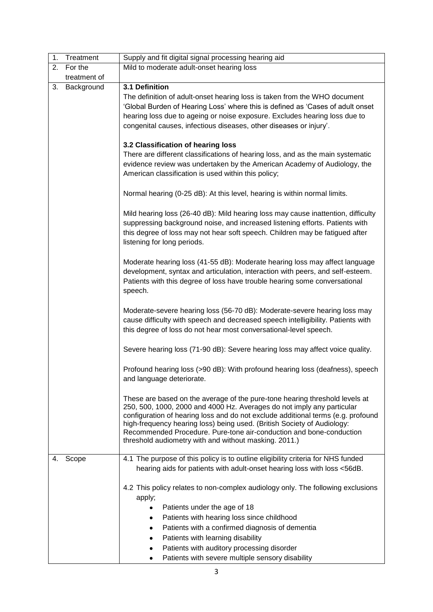| 1. | Treatment    | Supply and fit digital signal processing hearing aid                                                                                                                                                                                                                                                                                                                                                                                                 |  |  |  |  |
|----|--------------|------------------------------------------------------------------------------------------------------------------------------------------------------------------------------------------------------------------------------------------------------------------------------------------------------------------------------------------------------------------------------------------------------------------------------------------------------|--|--|--|--|
| 2. | For the      | Mild to moderate adult-onset hearing loss                                                                                                                                                                                                                                                                                                                                                                                                            |  |  |  |  |
|    | treatment of |                                                                                                                                                                                                                                                                                                                                                                                                                                                      |  |  |  |  |
| 3. | Background   | 3.1 Definition<br>The definition of adult-onset hearing loss is taken from the WHO document<br>'Global Burden of Hearing Loss' where this is defined as 'Cases of adult onset<br>hearing loss due to ageing or noise exposure. Excludes hearing loss due to<br>congenital causes, infectious diseases, other diseases or injury'.                                                                                                                    |  |  |  |  |
|    |              | 3.2 Classification of hearing loss<br>There are different classifications of hearing loss, and as the main systematic<br>evidence review was undertaken by the American Academy of Audiology, the<br>American classification is used within this policy;                                                                                                                                                                                             |  |  |  |  |
|    |              | Normal hearing (0-25 dB): At this level, hearing is within normal limits.                                                                                                                                                                                                                                                                                                                                                                            |  |  |  |  |
|    |              | Mild hearing loss (26-40 dB): Mild hearing loss may cause inattention, difficulty<br>suppressing background noise, and increased listening efforts. Patients with<br>this degree of loss may not hear soft speech. Children may be fatigued after<br>listening for long periods.                                                                                                                                                                     |  |  |  |  |
|    |              | Moderate hearing loss (41-55 dB): Moderate hearing loss may affect language<br>development, syntax and articulation, interaction with peers, and self-esteem.<br>Patients with this degree of loss have trouble hearing some conversational<br>speech.                                                                                                                                                                                               |  |  |  |  |
|    |              | Moderate-severe hearing loss (56-70 dB): Moderate-severe hearing loss may<br>cause difficulty with speech and decreased speech intelligibility. Patients with<br>this degree of loss do not hear most conversational-level speech.                                                                                                                                                                                                                   |  |  |  |  |
|    |              | Severe hearing loss (71-90 dB): Severe hearing loss may affect voice quality.                                                                                                                                                                                                                                                                                                                                                                        |  |  |  |  |
|    |              | Profound hearing loss (>90 dB): With profound hearing loss (deafness), speech<br>and language deteriorate.                                                                                                                                                                                                                                                                                                                                           |  |  |  |  |
|    |              | These are based on the average of the pure-tone hearing threshold levels at<br>250, 500, 1000, 2000 and 4000 Hz. Averages do not imply any particular<br>configuration of hearing loss and do not exclude additional terms (e.g. profound<br>high-frequency hearing loss) being used. (British Society of Audiology:<br>Recommended Procedure. Pure-tone air-conduction and bone-conduction<br>threshold audiometry with and without masking. 2011.) |  |  |  |  |
| 4. | Scope        | 4.1 The purpose of this policy is to outline eligibility criteria for NHS funded<br>hearing aids for patients with adult-onset hearing loss with loss <56dB.                                                                                                                                                                                                                                                                                         |  |  |  |  |
|    |              | 4.2 This policy relates to non-complex audiology only. The following exclusions<br>apply;                                                                                                                                                                                                                                                                                                                                                            |  |  |  |  |
|    |              | Patients under the age of 18<br>٠<br>Patients with hearing loss since childhood<br>٠                                                                                                                                                                                                                                                                                                                                                                 |  |  |  |  |
|    |              | Patients with a confirmed diagnosis of dementia<br>٠                                                                                                                                                                                                                                                                                                                                                                                                 |  |  |  |  |
|    |              | Patients with learning disability<br>٠                                                                                                                                                                                                                                                                                                                                                                                                               |  |  |  |  |
|    |              | Patients with auditory processing disorder                                                                                                                                                                                                                                                                                                                                                                                                           |  |  |  |  |
|    |              | Patients with severe multiple sensory disability<br>٠                                                                                                                                                                                                                                                                                                                                                                                                |  |  |  |  |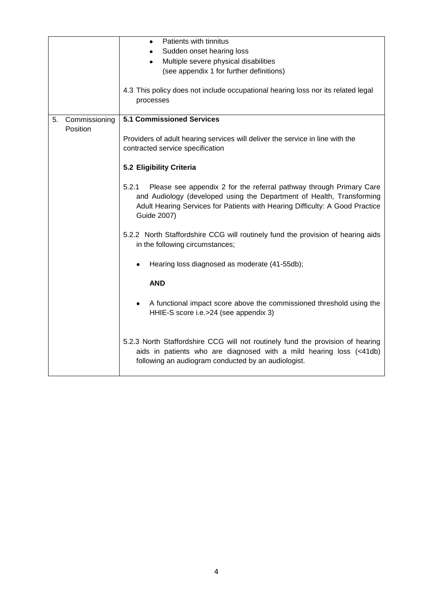|    |               | Patients with tinnitus<br>٠                                                                                                                                                                                                                          |  |  |  |
|----|---------------|------------------------------------------------------------------------------------------------------------------------------------------------------------------------------------------------------------------------------------------------------|--|--|--|
|    |               | Sudden onset hearing loss<br>٠                                                                                                                                                                                                                       |  |  |  |
|    |               | Multiple severe physical disabilities<br>$\bullet$                                                                                                                                                                                                   |  |  |  |
|    |               | (see appendix 1 for further definitions)                                                                                                                                                                                                             |  |  |  |
|    |               |                                                                                                                                                                                                                                                      |  |  |  |
|    |               | 4.3 This policy does not include occupational hearing loss nor its related legal<br>processes                                                                                                                                                        |  |  |  |
| 5. | Commissioning | <b>5.1 Commissioned Services</b>                                                                                                                                                                                                                     |  |  |  |
|    | Position      |                                                                                                                                                                                                                                                      |  |  |  |
|    |               | Providers of adult hearing services will deliver the service in line with the                                                                                                                                                                        |  |  |  |
|    |               | contracted service specification                                                                                                                                                                                                                     |  |  |  |
|    |               |                                                                                                                                                                                                                                                      |  |  |  |
|    |               | 5.2 Eligibility Criteria                                                                                                                                                                                                                             |  |  |  |
|    |               |                                                                                                                                                                                                                                                      |  |  |  |
|    |               | Please see appendix 2 for the referral pathway through Primary Care<br>5.2.1<br>and Audiology (developed using the Department of Health, Transforming<br>Adult Hearing Services for Patients with Hearing Difficulty: A Good Practice<br>Guide 2007) |  |  |  |
|    |               | 5.2.2 North Staffordshire CCG will routinely fund the provision of hearing aids<br>in the following circumstances;                                                                                                                                   |  |  |  |
|    |               | Hearing loss diagnosed as moderate (41-55db);                                                                                                                                                                                                        |  |  |  |
|    |               | <b>AND</b>                                                                                                                                                                                                                                           |  |  |  |
|    |               | A functional impact score above the commissioned threshold using the<br>$\bullet$<br>HHIE-S score i.e.>24 (see appendix 3)                                                                                                                           |  |  |  |
|    |               | 5.2.3 North Staffordshire CCG will not routinely fund the provision of hearing<br>aids in patients who are diagnosed with a mild hearing loss (<41db)<br>following an audiogram conducted by an audiologist.                                         |  |  |  |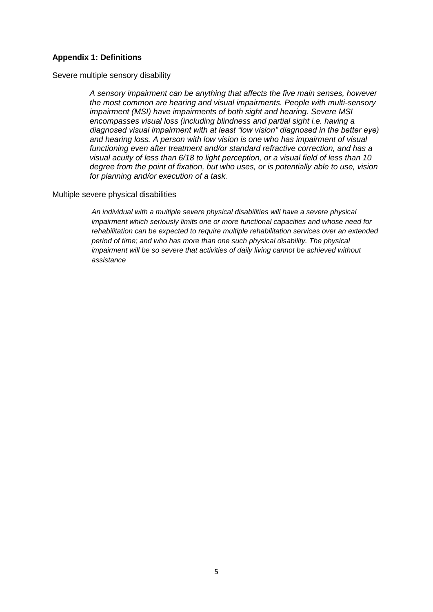#### **Appendix 1: Definitions**

#### Severe multiple sensory disability

*A sensory impairment can be anything that affects the five main senses, however the most common are hearing and visual impairments. People with multi-sensory impairment (MSI) have impairments of both sight and hearing. Severe MSI encompasses visual loss (including blindness and partial sight i.e. having a diagnosed visual impairment with at least "low vision" diagnosed in the better eye) and hearing loss. A person with low vision is one who has impairment of visual functioning even after treatment and/or standard refractive correction, and has a visual acuity of less than 6/18 to light perception, or a visual field of less than 10 degree from the point of fixation, but who uses, or is potentially able to use, vision for planning and/or execution of a task.*

#### Multiple severe physical disabilities

*An individual with a multiple severe physical disabilities will have a severe physical impairment which seriously limits one or more functional capacities and whose need for rehabilitation can be expected to require multiple rehabilitation services over an extended period of time; and who has more than one such physical disability. The physical impairment will be so severe that activities of daily living cannot be achieved without assistance*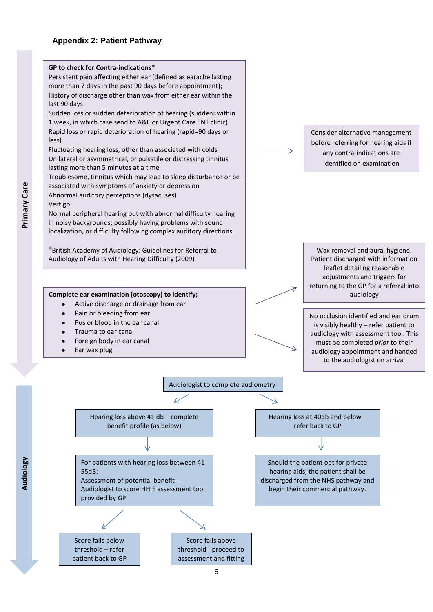#### **Appendix 2: Patient Pathway**



Audiology